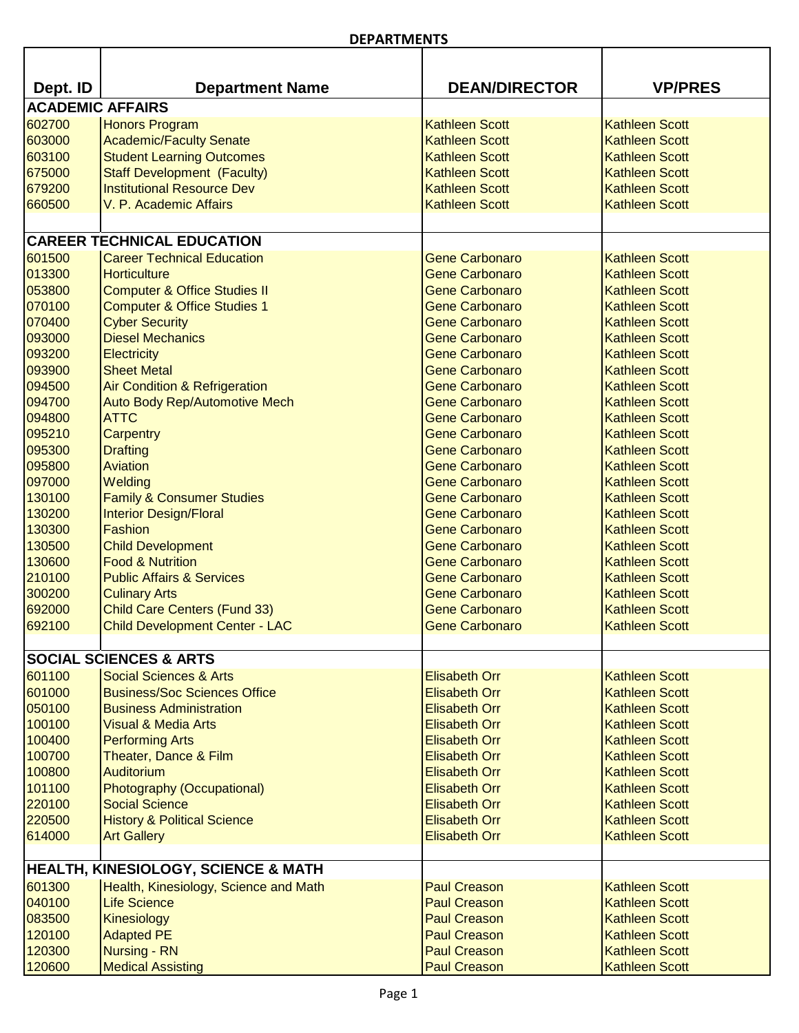ń

| Dept. ID | <b>Department Name</b>                         | <b>DEAN/DIRECTOR</b>  | <b>VP/PRES</b>        |  |
|----------|------------------------------------------------|-----------------------|-----------------------|--|
|          | <b>ACADEMIC AFFAIRS</b>                        |                       |                       |  |
| 602700   | <b>Honors Program</b>                          | <b>Kathleen Scott</b> | <b>Kathleen Scott</b> |  |
| 603000   | <b>Academic/Faculty Senate</b>                 | <b>Kathleen Scott</b> | <b>Kathleen Scott</b> |  |
| 603100   | <b>Student Learning Outcomes</b>               | <b>Kathleen Scott</b> | <b>Kathleen Scott</b> |  |
| 675000   | <b>Staff Development (Faculty)</b>             | <b>Kathleen Scott</b> | <b>Kathleen Scott</b> |  |
| 679200   | <b>Institutional Resource Dev</b>              | <b>Kathleen Scott</b> | <b>Kathleen Scott</b> |  |
| 660500   | V. P. Academic Affairs                         | <b>Kathleen Scott</b> | <b>Kathleen Scott</b> |  |
|          |                                                |                       |                       |  |
|          | <b>CAREER TECHNICAL EDUCATION</b>              |                       |                       |  |
| 601500   | <b>Career Technical Education</b>              | <b>Gene Carbonaro</b> | <b>Kathleen Scott</b> |  |
| 013300   | <b>Horticulture</b>                            | <b>Gene Carbonaro</b> | <b>Kathleen Scott</b> |  |
| 053800   | <b>Computer &amp; Office Studies II</b>        | <b>Gene Carbonaro</b> | <b>Kathleen Scott</b> |  |
| 070100   | <b>Computer &amp; Office Studies 1</b>         | <b>Gene Carbonaro</b> | <b>Kathleen Scott</b> |  |
| 070400   | <b>Cyber Security</b>                          | <b>Gene Carbonaro</b> | <b>Kathleen Scott</b> |  |
| 093000   | <b>Diesel Mechanics</b>                        | <b>Gene Carbonaro</b> | <b>Kathleen Scott</b> |  |
| 093200   | Electricity                                    | <b>Gene Carbonaro</b> | <b>Kathleen Scott</b> |  |
| 093900   | <b>Sheet Metal</b>                             | <b>Gene Carbonaro</b> | <b>Kathleen Scott</b> |  |
| 094500   | <b>Air Condition &amp; Refrigeration</b>       | <b>Gene Carbonaro</b> | <b>Kathleen Scott</b> |  |
| 094700   | Auto Body Rep/Automotive Mech                  | <b>Gene Carbonaro</b> | <b>Kathleen Scott</b> |  |
| 094800   | <b>ATTC</b>                                    | <b>Gene Carbonaro</b> | <b>Kathleen Scott</b> |  |
| 095210   | Carpentry                                      | <b>Gene Carbonaro</b> | <b>Kathleen Scott</b> |  |
| 095300   | <b>Drafting</b>                                | <b>Gene Carbonaro</b> | <b>Kathleen Scott</b> |  |
| 095800   | Aviation                                       | <b>Gene Carbonaro</b> | <b>Kathleen Scott</b> |  |
| 097000   | Welding                                        | <b>Gene Carbonaro</b> | <b>Kathleen Scott</b> |  |
| 130100   | <b>Family &amp; Consumer Studies</b>           | <b>Gene Carbonaro</b> | <b>Kathleen Scott</b> |  |
| 130200   | <b>Interior Design/Floral</b>                  | <b>Gene Carbonaro</b> | <b>Kathleen Scott</b> |  |
| 130300   | Fashion                                        | <b>Gene Carbonaro</b> | <b>Kathleen Scott</b> |  |
| 130500   | <b>Child Development</b>                       | <b>Gene Carbonaro</b> | <b>Kathleen Scott</b> |  |
| 130600   | <b>Food &amp; Nutrition</b>                    | <b>Gene Carbonaro</b> | <b>Kathleen Scott</b> |  |
| 210100   | <b>Public Affairs &amp; Services</b>           | <b>Gene Carbonaro</b> | <b>Kathleen Scott</b> |  |
| 300200   | <b>Culinary Arts</b>                           | <b>Gene Carbonaro</b> | <b>Kathleen Scott</b> |  |
| 692000   | <b>Child Care Centers (Fund 33)</b>            | <b>Gene Carbonaro</b> | <b>Kathleen Scott</b> |  |
| 692100   | <b>Child Development Center - LAC</b>          | <b>Gene Carbonaro</b> | <b>Kathleen Scott</b> |  |
|          | <b>SOCIAL SCIENCES &amp; ARTS</b>              |                       |                       |  |
| 601100   | <b>Social Sciences &amp; Arts</b>              | <b>Elisabeth Orr</b>  | <b>Kathleen Scott</b> |  |
| 601000   | <b>Business/Soc Sciences Office</b>            | <b>Elisabeth Orr</b>  | <b>Kathleen Scott</b> |  |
| 050100   | <b>Business Administration</b>                 | <b>Elisabeth Orr</b>  | <b>Kathleen Scott</b> |  |
| 100100   | <b>Visual &amp; Media Arts</b>                 | <b>Elisabeth Orr</b>  | <b>Kathleen Scott</b> |  |
| 100400   | <b>Performing Arts</b>                         | <b>Elisabeth Orr</b>  | <b>Kathleen Scott</b> |  |
| 100700   | Theater, Dance & Film                          | <b>Elisabeth Orr</b>  | <b>Kathleen Scott</b> |  |
| 100800   | <b>Auditorium</b>                              | <b>Elisabeth Orr</b>  | <b>Kathleen Scott</b> |  |
| 101100   | Photography (Occupational)                     | <b>Elisabeth Orr</b>  | <b>Kathleen Scott</b> |  |
| 220100   | <b>Social Science</b>                          | <b>Elisabeth Orr</b>  | <b>Kathleen Scott</b> |  |
| 220500   | <b>History &amp; Political Science</b>         | <b>Elisabeth Orr</b>  | <b>Kathleen Scott</b> |  |
| 614000   | <b>Art Gallery</b>                             | <b>Elisabeth Orr</b>  | <b>Kathleen Scott</b> |  |
|          |                                                |                       |                       |  |
|          | <b>HEALTH, KINESIOLOGY, SCIENCE &amp; MATH</b> |                       |                       |  |
| 601300   | Health, Kinesiology, Science and Math          | <b>Paul Creason</b>   | <b>Kathleen Scott</b> |  |
| 040100   | <b>Life Science</b>                            | <b>Paul Creason</b>   | <b>Kathleen Scott</b> |  |
| 083500   | Kinesiology                                    | <b>Paul Creason</b>   | <b>Kathleen Scott</b> |  |
| 120100   | <b>Adapted PE</b>                              | <b>Paul Creason</b>   | <b>Kathleen Scott</b> |  |
| 120300   | <b>Nursing - RN</b>                            | <b>Paul Creason</b>   | <b>Kathleen Scott</b> |  |
| 120600   | <b>Medical Assisting</b>                       | <b>Paul Creason</b>   | <b>Kathleen Scott</b> |  |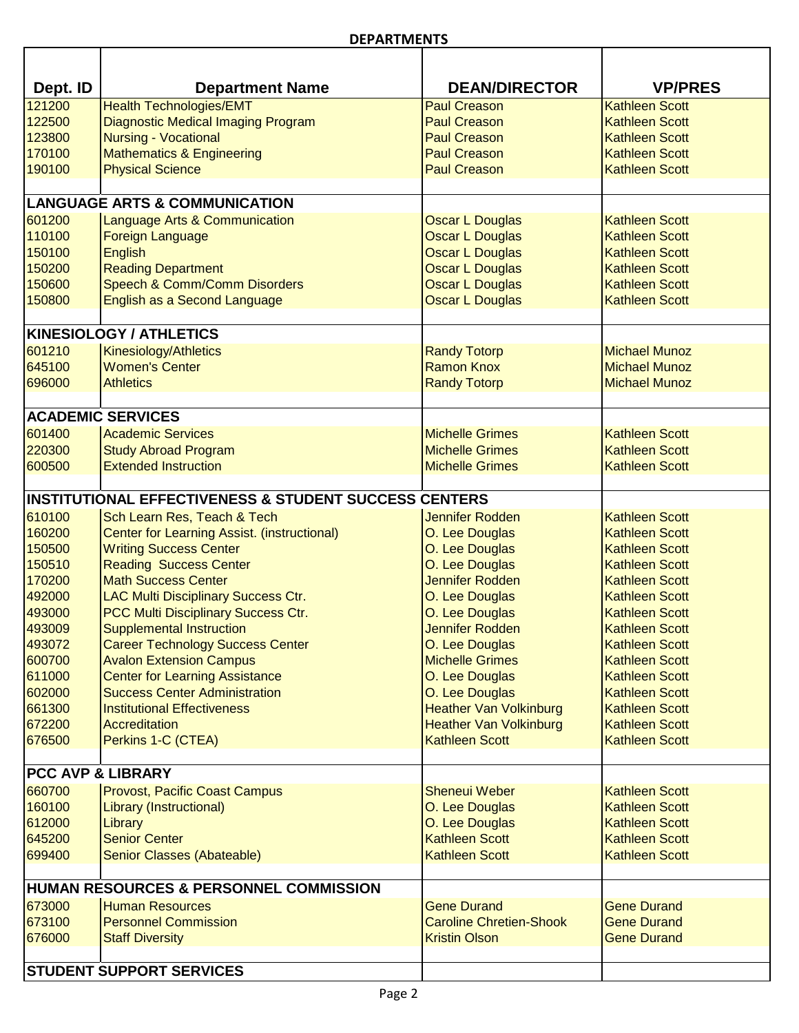٦

| Dept. ID                     | <b>Department Name</b>                                           | <b>DEAN/DIRECTOR</b>           | <b>VP/PRES</b>        |
|------------------------------|------------------------------------------------------------------|--------------------------------|-----------------------|
| 121200                       | <b>Health Technologies/EMT</b>                                   | <b>Paul Creason</b>            | <b>Kathleen Scott</b> |
| 122500                       | <b>Diagnostic Medical Imaging Program</b>                        | <b>Paul Creason</b>            | <b>Kathleen Scott</b> |
| 123800                       | <b>Nursing - Vocational</b>                                      | <b>Paul Creason</b>            | <b>Kathleen Scott</b> |
| 170100                       | <b>Mathematics &amp; Engineering</b>                             | <b>Paul Creason</b>            | <b>Kathleen Scott</b> |
| 190100                       | <b>Physical Science</b>                                          | <b>Paul Creason</b>            | <b>Kathleen Scott</b> |
|                              |                                                                  |                                |                       |
|                              | <b>LANGUAGE ARTS &amp; COMMUNICATION</b>                         |                                |                       |
| 601200                       | Language Arts & Communication                                    | <b>Oscar L Douglas</b>         | <b>Kathleen Scott</b> |
| 110100                       | <b>Foreign Language</b>                                          | <b>Oscar L Douglas</b>         | <b>Kathleen Scott</b> |
| 150100                       | <b>English</b>                                                   | <b>Oscar L Douglas</b>         | <b>Kathleen Scott</b> |
| 150200                       | <b>Reading Department</b>                                        | <b>Oscar L Douglas</b>         | <b>Kathleen Scott</b> |
| 150600                       | Speech & Comm/Comm Disorders                                     | <b>Oscar L Douglas</b>         | <b>Kathleen Scott</b> |
| 150800                       | English as a Second Language                                     | <b>Oscar L Douglas</b>         | <b>Kathleen Scott</b> |
|                              | <b>KINESIOLOGY / ATHLETICS</b>                                   |                                |                       |
| 601210                       | <b>Kinesiology/Athletics</b>                                     | <b>Randy Totorp</b>            | <b>Michael Munoz</b>  |
| 645100                       | <b>Women's Center</b>                                            | <b>Ramon Knox</b>              | <b>Michael Munoz</b>  |
| 696000                       | <b>Athletics</b>                                                 | <b>Randy Totorp</b>            | <b>Michael Munoz</b>  |
|                              |                                                                  |                                |                       |
|                              | <b>ACADEMIC SERVICES</b>                                         |                                |                       |
| 601400                       | <b>Academic Services</b>                                         | <b>Michelle Grimes</b>         | <b>Kathleen Scott</b> |
| 220300                       | <b>Study Abroad Program</b><br><b>Extended Instruction</b>       | <b>Michelle Grimes</b>         | <b>Kathleen Scott</b> |
| 600500                       |                                                                  | <b>Michelle Grimes</b>         | <b>Kathleen Scott</b> |
|                              | <b>INSTITUTIONAL EFFECTIVENESS &amp; STUDENT SUCCESS CENTERS</b> |                                |                       |
| 610100                       | Sch Learn Res, Teach & Tech                                      | <b>Jennifer Rodden</b>         | <b>Kathleen Scott</b> |
| 160200                       | Center for Learning Assist. (instructional)                      | O. Lee Douglas                 | <b>Kathleen Scott</b> |
| 150500                       | <b>Writing Success Center</b>                                    | O. Lee Douglas                 | <b>Kathleen Scott</b> |
| 150510                       | <b>Reading Success Center</b>                                    | O. Lee Douglas                 | <b>Kathleen Scott</b> |
| 170200                       | <b>Math Success Center</b>                                       | <b>Jennifer Rodden</b>         | <b>Kathleen Scott</b> |
| 492000                       | LAC Multi Disciplinary Success Ctr.                              | O. Lee Douglas                 | <b>Kathleen Scott</b> |
| 493000                       | PCC Multi Disciplinary Success Ctr.                              | O. Lee Douglas                 | <b>Kathleen Scott</b> |
| 493009                       | <b>Supplemental Instruction</b>                                  | <b>Jennifer Rodden</b>         | <b>Kathleen Scott</b> |
| 493072                       | <b>Career Technology Success Center</b>                          | O. Lee Douglas                 | <b>Kathleen Scott</b> |
| 600700                       | <b>Avalon Extension Campus</b>                                   | <b>Michelle Grimes</b>         | <b>Kathleen Scott</b> |
| 611000                       | <b>Center for Learning Assistance</b>                            | O. Lee Douglas                 | <b>Kathleen Scott</b> |
| 602000                       | <b>Success Center Administration</b>                             | O. Lee Douglas                 | <b>Kathleen Scott</b> |
| 661300                       | <b>Institutional Effectiveness</b>                               | <b>Heather Van Volkinburg</b>  | <b>Kathleen Scott</b> |
| 672200                       | <b>Accreditation</b>                                             | <b>Heather Van Volkinburg</b>  | <b>Kathleen Scott</b> |
| 676500                       | Perkins 1-C (CTEA)                                               | <b>Kathleen Scott</b>          | <b>Kathleen Scott</b> |
| <b>PCC AVP &amp; LIBRARY</b> |                                                                  |                                |                       |
| 660700                       | <b>Provost, Pacific Coast Campus</b>                             | <b>Sheneui Weber</b>           | <b>Kathleen Scott</b> |
| 160100                       | <b>Library (Instructional)</b>                                   | O. Lee Douglas                 | <b>Kathleen Scott</b> |
| 612000                       | Library                                                          | O. Lee Douglas                 | <b>Kathleen Scott</b> |
| 645200                       | <b>Senior Center</b>                                             | <b>Kathleen Scott</b>          | <b>Kathleen Scott</b> |
| 699400                       | Senior Classes (Abateable)                                       | <b>Kathleen Scott</b>          | <b>Kathleen Scott</b> |
|                              |                                                                  |                                |                       |
|                              | <b>HUMAN RESOURCES &amp; PERSONNEL COMMISSION</b>                |                                |                       |
| 673000                       | <b>Human Resources</b>                                           | <b>Gene Durand</b>             | <b>Gene Durand</b>    |
| 673100                       | <b>Personnel Commission</b>                                      | <b>Caroline Chretien-Shook</b> | <b>Gene Durand</b>    |
| 676000                       | <b>Staff Diversity</b>                                           | <b>Kristin Olson</b>           | <b>Gene Durand</b>    |
|                              | <b>STUDENT SUPPORT SERVICES</b>                                  |                                |                       |
|                              |                                                                  |                                |                       |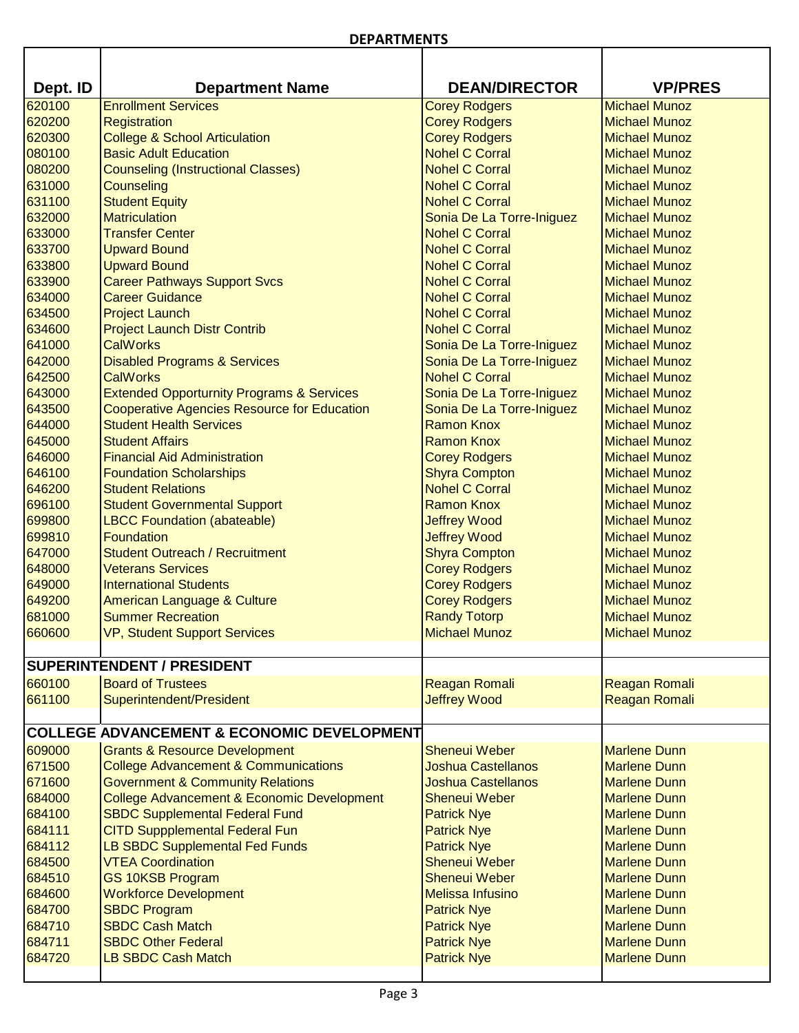П

| Dept. ID         | <b>Department Name</b>                                     | <b>DEAN/DIRECTOR</b>                           | <b>VP/PRES</b>                               |
|------------------|------------------------------------------------------------|------------------------------------------------|----------------------------------------------|
| 620100           | <b>Enrollment Services</b>                                 | <b>Corey Rodgers</b>                           | <b>Michael Munoz</b>                         |
| 620200           | Registration                                               | <b>Corey Rodgers</b>                           | <b>Michael Munoz</b>                         |
| 620300           | <b>College &amp; School Articulation</b>                   | <b>Corey Rodgers</b>                           | <b>Michael Munoz</b>                         |
| 080100           | <b>Basic Adult Education</b>                               | <b>Nohel C Corral</b>                          | <b>Michael Munoz</b>                         |
| 080200           | <b>Counseling (Instructional Classes)</b>                  | <b>Nohel C Corral</b>                          | <b>Michael Munoz</b>                         |
| 631000           | <b>Counseling</b>                                          | <b>Nohel C Corral</b>                          | <b>Michael Munoz</b>                         |
| 631100           | <b>Student Equity</b>                                      | <b>Nohel C Corral</b>                          | <b>Michael Munoz</b>                         |
| 632000           | <b>Matriculation</b>                                       | Sonia De La Torre-Iniguez                      | <b>Michael Munoz</b>                         |
| 633000           | <b>Transfer Center</b>                                     | <b>Nohel C Corral</b>                          | <b>Michael Munoz</b>                         |
| 633700<br>633800 | <b>Upward Bound</b>                                        | <b>Nohel C Corral</b><br><b>Nohel C Corral</b> | <b>Michael Munoz</b><br><b>Michael Munoz</b> |
| 633900           | <b>Upward Bound</b><br><b>Career Pathways Support Svcs</b> | <b>Nohel C Corral</b>                          | <b>Michael Munoz</b>                         |
| 634000           | <b>Career Guidance</b>                                     | <b>Nohel C Corral</b>                          | <b>Michael Munoz</b>                         |
| 634500           | <b>Project Launch</b>                                      | <b>Nohel C Corral</b>                          | <b>Michael Munoz</b>                         |
| 634600           | <b>Project Launch Distr Contrib</b>                        | <b>Nohel C Corral</b>                          | <b>Michael Munoz</b>                         |
| 641000           | <b>CalWorks</b>                                            | Sonia De La Torre-Iniguez                      | <b>Michael Munoz</b>                         |
| 642000           | <b>Disabled Programs &amp; Services</b>                    | Sonia De La Torre-Iniguez                      | <b>Michael Munoz</b>                         |
| 642500           | <b>CalWorks</b>                                            | <b>Nohel C Corral</b>                          | <b>Michael Munoz</b>                         |
| 643000           | <b>Extended Opporturnity Programs &amp; Services</b>       | Sonia De La Torre-Iniguez                      | <b>Michael Munoz</b>                         |
| 643500           | <b>Cooperative Agencies Resource for Education</b>         | Sonia De La Torre-Iniguez                      | <b>Michael Munoz</b>                         |
| 644000           | <b>Student Health Services</b>                             | <b>Ramon Knox</b>                              | <b>Michael Munoz</b>                         |
| 645000           | <b>Student Affairs</b>                                     | <b>Ramon Knox</b>                              | <b>Michael Munoz</b>                         |
| 646000           | <b>Financial Aid Administration</b>                        | <b>Corey Rodgers</b>                           | <b>Michael Munoz</b>                         |
| 646100           | <b>Foundation Scholarships</b>                             | <b>Shyra Compton</b>                           | <b>Michael Munoz</b>                         |
| 646200           | <b>Student Relations</b>                                   | <b>Nohel C Corral</b>                          | <b>Michael Munoz</b>                         |
| 696100           | <b>Student Governmental Support</b>                        | <b>Ramon Knox</b>                              | <b>Michael Munoz</b>                         |
| 699800           | <b>LBCC Foundation (abateable)</b>                         | <b>Jeffrey Wood</b>                            | <b>Michael Munoz</b>                         |
| 699810           | <b>Foundation</b>                                          | <b>Jeffrey Wood</b>                            | <b>Michael Munoz</b>                         |
| 647000           | <b>Student Outreach / Recruitment</b>                      | <b>Shyra Compton</b>                           | <b>Michael Munoz</b>                         |
| 648000           | <b>Veterans Services</b>                                   | <b>Corey Rodgers</b>                           | <b>Michael Munoz</b>                         |
| 649000           | <b>International Students</b>                              | <b>Corey Rodgers</b>                           | <b>Michael Munoz</b>                         |
| 649200           | <b>American Language &amp; Culture</b>                     | <b>Corey Rodgers</b>                           | <b>Michael Munoz</b>                         |
| 681000           | <b>Summer Recreation</b>                                   | <b>Randy Totorp</b>                            | <b>Michael Munoz</b>                         |
| 660600           | <b>VP, Student Support Services</b>                        | <b>Michael Munoz</b>                           | <b>Michael Munoz</b>                         |
|                  | <b>SUPERINTENDENT / PRESIDENT</b>                          |                                                |                                              |
| 660100           | <b>Board of Trustees</b>                                   | Reagan Romali                                  | <b>Reagan Romali</b>                         |
| 661100           | Superintendent/President                                   | <b>Jeffrey Wood</b>                            | <b>Reagan Romali</b>                         |
|                  |                                                            |                                                |                                              |
|                  | <b>COLLEGE ADVANCEMENT &amp; ECONOMIC DEVELOPMENT</b>      |                                                |                                              |
| 609000           | <b>Grants &amp; Resource Development</b>                   | <b>Sheneui Weber</b>                           | <b>Marlene Dunn</b>                          |
| 671500           | <b>College Advancement &amp; Communications</b>            | Joshua Castellanos                             | <b>Marlene Dunn</b>                          |
| 671600           | <b>Government &amp; Community Relations</b>                | <b>Joshua Castellanos</b>                      | <b>Marlene Dunn</b>                          |
| 684000           | College Advancement & Economic Development                 | <b>Sheneui Weber</b>                           | <b>Marlene Dunn</b>                          |
| 684100           | <b>SBDC Supplemental Federal Fund</b>                      | <b>Patrick Nye</b>                             | <b>Marlene Dunn</b>                          |
| 684111           | <b>CITD Suppplemental Federal Fun</b>                      | <b>Patrick Nye</b>                             | <b>Marlene Dunn</b>                          |
| 684112           | LB SBDC Supplemental Fed Funds                             | <b>Patrick Nye</b>                             | <b>Marlene Dunn</b>                          |
| 684500           | <b>VTEA Coordination</b>                                   | <b>Sheneui Weber</b>                           | <b>Marlene Dunn</b>                          |
| 684510           | <b>GS 10KSB Program</b>                                    | <b>Sheneui Weber</b>                           | <b>Marlene Dunn</b>                          |
| 684600           | <b>Workforce Development</b>                               | <b>Melissa Infusino</b>                        | <b>Marlene Dunn</b>                          |
| 684700           | <b>SBDC Program</b>                                        | <b>Patrick Nye</b>                             | <b>Marlene Dunn</b>                          |
| 684710           | <b>SBDC Cash Match</b>                                     | <b>Patrick Nye</b>                             | <b>Marlene Dunn</b>                          |
| 684711           | <b>SBDC Other Federal</b>                                  | <b>Patrick Nye</b>                             | <b>Marlene Dunn</b>                          |
| 684720           | <b>LB SBDC Cash Match</b>                                  | <b>Patrick Nye</b>                             | <b>Marlene Dunn</b>                          |
|                  |                                                            |                                                |                                              |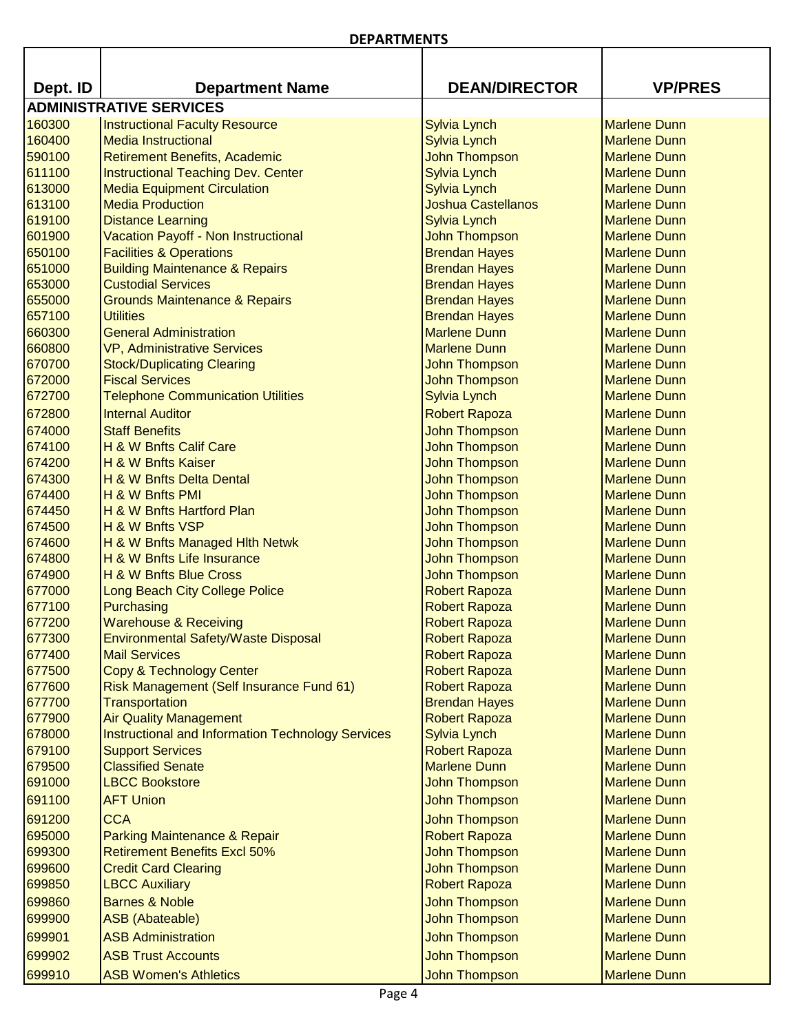| Dept. ID | <b>Department Name</b>                            | <b>DEAN/DIRECTOR</b>      | <b>VP/PRES</b>      |
|----------|---------------------------------------------------|---------------------------|---------------------|
|          | <b>ADMINISTRATIVE SERVICES</b>                    |                           |                     |
| 160300   | <b>Instructional Faculty Resource</b>             | <b>Sylvia Lynch</b>       | <b>Marlene Dunn</b> |
| 160400   | <b>Media Instructional</b>                        | <b>Sylvia Lynch</b>       | <b>Marlene Dunn</b> |
| 590100   | Retirement Benefits, Academic                     | <b>John Thompson</b>      | <b>Marlene Dunn</b> |
| 611100   | Instructional Teaching Dev. Center                | <b>Sylvia Lynch</b>       | <b>Marlene Dunn</b> |
| 613000   | <b>Media Equipment Circulation</b>                | <b>Sylvia Lynch</b>       | <b>Marlene Dunn</b> |
| 613100   | <b>Media Production</b>                           | <b>Joshua Castellanos</b> | <b>Marlene Dunn</b> |
| 619100   | <b>Distance Learning</b>                          | <b>Sylvia Lynch</b>       | <b>Marlene Dunn</b> |
| 601900   | Vacation Payoff - Non Instructional               | <b>John Thompson</b>      | <b>Marlene Dunn</b> |
| 650100   | <b>Facilities &amp; Operations</b>                | <b>Brendan Hayes</b>      | <b>Marlene Dunn</b> |
| 651000   | <b>Building Maintenance &amp; Repairs</b>         | <b>Brendan Hayes</b>      | <b>Marlene Dunn</b> |
| 653000   | <b>Custodial Services</b>                         | <b>Brendan Hayes</b>      | <b>Marlene Dunn</b> |
| 655000   | <b>Grounds Maintenance &amp; Repairs</b>          | <b>Brendan Hayes</b>      | <b>Marlene Dunn</b> |
| 657100   | <b>Utilities</b>                                  | <b>Brendan Hayes</b>      | <b>Marlene Dunn</b> |
| 660300   | <b>General Administration</b>                     | <b>Marlene Dunn</b>       | <b>Marlene Dunn</b> |
| 660800   | <b>VP, Administrative Services</b>                | <b>Marlene Dunn</b>       | <b>Marlene Dunn</b> |
| 670700   | <b>Stock/Duplicating Clearing</b>                 | <b>John Thompson</b>      | <b>Marlene Dunn</b> |
| 672000   | <b>Fiscal Services</b>                            | <b>John Thompson</b>      | <b>Marlene Dunn</b> |
| 672700   | <b>Telephone Communication Utilities</b>          | Sylvia Lynch              | <b>Marlene Dunn</b> |
| 672800   | <b>Internal Auditor</b>                           | <b>Robert Rapoza</b>      | <b>Marlene Dunn</b> |
|          |                                                   |                           |                     |
| 674000   | <b>Staff Benefits</b>                             | <b>John Thompson</b>      | <b>Marlene Dunn</b> |
| 674100   | H & W Bnfts Calif Care                            | <b>John Thompson</b>      | <b>Marlene Dunn</b> |
| 674200   | H & W Bnfts Kaiser                                | John Thompson             | <b>Marlene Dunn</b> |
| 674300   | H & W Bnfts Delta Dental                          | John Thompson             | <b>Marlene Dunn</b> |
| 674400   | H & W Bnfts PMI                                   | <b>John Thompson</b>      | <b>Marlene Dunn</b> |
| 674450   | H & W Bnfts Hartford Plan                         | John Thompson             | <b>Marlene Dunn</b> |
| 674500   | H & W Bnfts VSP                                   | John Thompson             | <b>Marlene Dunn</b> |
| 674600   | H & W Bnfts Managed Hith Netwk                    | <b>John Thompson</b>      | <b>Marlene Dunn</b> |
| 674800   | H & W Bnfts Life Insurance                        | John Thompson             | <b>Marlene Dunn</b> |
| 674900   | H & W Bnfts Blue Cross                            | John Thompson             | <b>Marlene Dunn</b> |
| 677000   | Long Beach City College Police                    | <b>Robert Rapoza</b>      | <b>Marlene Dunn</b> |
| 677100   | Purchasing                                        | <b>Robert Rapoza</b>      | <b>Marlene Dunn</b> |
| 677200   | <b>Warehouse &amp; Receiving</b>                  | <b>Robert Rapoza</b>      | <b>Marlene Dunn</b> |
| 677300   | Environmental Safety/Waste Disposal               | <b>Robert Rapoza</b>      | <b>Marlene Dunn</b> |
| 677400   | <b>Mail Services</b>                              | <b>Robert Rapoza</b>      | <b>Marlene Dunn</b> |
| 677500   | Copy & Technology Center                          | <b>Robert Rapoza</b>      | <b>Marlene Dunn</b> |
| 677600   | Risk Management (Self Insurance Fund 61)          | <b>Robert Rapoza</b>      | <b>Marlene Dunn</b> |
| 677700   | Transportation                                    | <b>Brendan Hayes</b>      | <b>Marlene Dunn</b> |
| 677900   | <b>Air Quality Management</b>                     | <b>Robert Rapoza</b>      | <b>Marlene Dunn</b> |
| 678000   | Instructional and Information Technology Services | <b>Sylvia Lynch</b>       | <b>Marlene Dunn</b> |
| 679100   | <b>Support Services</b>                           | <b>Robert Rapoza</b>      | <b>Marlene Dunn</b> |
| 679500   | <b>Classified Senate</b><br><b>LBCC Bookstore</b> | <b>Marlene Dunn</b>       | <b>Marlene Dunn</b> |
| 691000   |                                                   | <b>John Thompson</b>      | <b>Marlene Dunn</b> |
| 691100   | <b>AFT Union</b>                                  | John Thompson             | <b>Marlene Dunn</b> |
| 691200   | <b>CCA</b>                                        | <b>John Thompson</b>      | <b>Marlene Dunn</b> |
| 695000   | Parking Maintenance & Repair                      | <b>Robert Rapoza</b>      | <b>Marlene Dunn</b> |
| 699300   | <b>Retirement Benefits Excl 50%</b>               | <b>John Thompson</b>      | <b>Marlene Dunn</b> |
| 699600   | <b>Credit Card Clearing</b>                       | <b>John Thompson</b>      | <b>Marlene Dunn</b> |
| 699850   | <b>LBCC Auxiliary</b>                             | <b>Robert Rapoza</b>      | <b>Marlene Dunn</b> |
| 699860   | <b>Barnes &amp; Noble</b>                         | <b>John Thompson</b>      | <b>Marlene Dunn</b> |
| 699900   | <b>ASB</b> (Abateable)                            | <b>John Thompson</b>      | <b>Marlene Dunn</b> |
| 699901   | <b>ASB Administration</b>                         | <b>John Thompson</b>      | <b>Marlene Dunn</b> |
| 699902   | <b>ASB Trust Accounts</b>                         | <b>John Thompson</b>      | <b>Marlene Dunn</b> |
| 699910   |                                                   | <b>John Thompson</b>      |                     |
|          | <b>ASB Women's Athletics</b>                      |                           | <b>Marlene Dunn</b> |